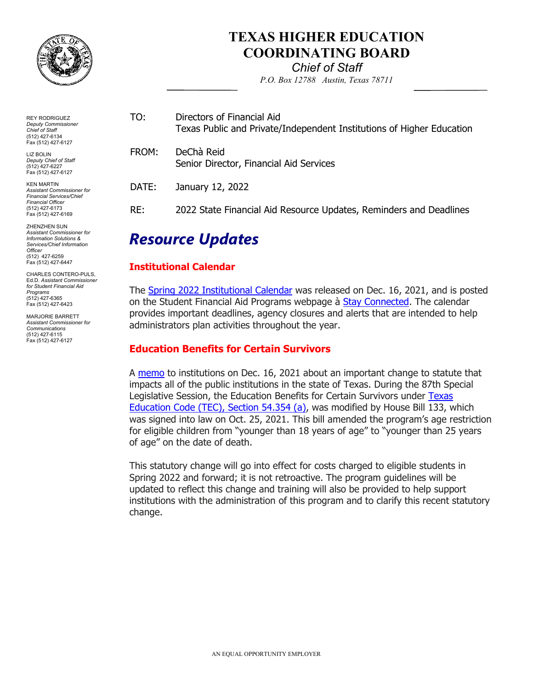

## **TEXAS HIGHER EDUCATION COORDINATING BOARD**

*Chief of Staff P.O. Box 12788 Austin, Texas 78711* 

| Resource LIndates |                                                                                                     |
|-------------------|-----------------------------------------------------------------------------------------------------|
| RE:               | 2022 State Financial Aid Resource Updates, Reminders and Deadlines                                  |
| DATE:             | January 12, 2022                                                                                    |
| FROM:             | DeChà Reid<br>Senior Director, Financial Aid Services                                               |
| TO:               | Directors of Financial Aid<br>Texas Public and Private/Independent Institutions of Higher Education |

# *Resource Updates*

### **Institutional Calendar**

The <u>Spring 2022 Institutional Calendar</u> was released on Dec. 16, 2021, and is posted on the Student Financial Aid Programs webpage à <u>Stay Connected</u>. The calendar provides important deadlines, agency closures and alerts that are intended to help administrators plan activities throughout the year.

## **Education Benefits for Certain Survivors**

A <u>memo</u> to institutions on Dec. 16, 2021 about an important change to statute that impacts all of the public institutions in the state of Texas. During the 87th Special Legislative Session, the Education Benefits for Certain Survivors under <u>Texas</u> [Education Code \(TEC\), Section 54.354 \(a\),](https://urldefense.proofpoint.com/v2/url?u=https-3A__statutes.capitol.texas.gov_Docs_ED_htm_ED.54.htm-2354.354&d=DwMFaQ&c=RMnmm6VPZn6InKz70COhA6ljkuRx8qD28wOQIYh-aEY&r=TZPgM75WzpMQNaT5Mk6-VXDSA1UYmh2Xr8DTp7la2ODVmia1C0teQQpufU8PiyDx&m=F-mpXcC0lbSppOkqXGCwRU-biKx4r5IzmYPjFNMA6oNs0jfA3fbqhu19qYQRD79V&s=6A9bTUR5P-nyXzxPpOxr1uDzklD0ayCP_KlxbAp22gE&e=) was modified by House Bill 133, which was signed into law on Oct. 25, 2021. This bill amended the program's age restriction for eligible children from "younger than 18 years of age" to "younger than 25 years of age" on the date of death.

 This statutory change will go into effect for costs charged to eligible students in Spring 2022 and forward; it is not retroactive. The program guidelines will be updated to reflect this change and training will also be provided to help support institutions with the administration of this program and to clarify this recent statutory change.

(512) 427-6134 Fax (512) 427-6127 LIZ BOLIN *Deputy Chief of Staff*  (512) 427-6227

REY RODRIGUEZ *Deputy Commissioner Chief of Staff* 

Fax (512) 427-6127 KEN MARTIN *Assistant Commissioner for Financial Services/Chief Financial Officer*  (512) 427-6173

Fax (512) 427-6169

ZHENZHEN SUN *Assistant Commissioner for Information Solutions & Services/Chief Information Officer*  (512) 427-6259 Fax (512) 427-6447

 Ed.D. *Assistant Commissioner*  CHARLES CONTERO-PULS, *for Student Financial Aid Programs*  (512) 427-6365 Fax (512) 427-6423

MARJORIE BARRETT *Assistant Commissioner for Communications*  (512) 427-6115 Fax (512) 427-6127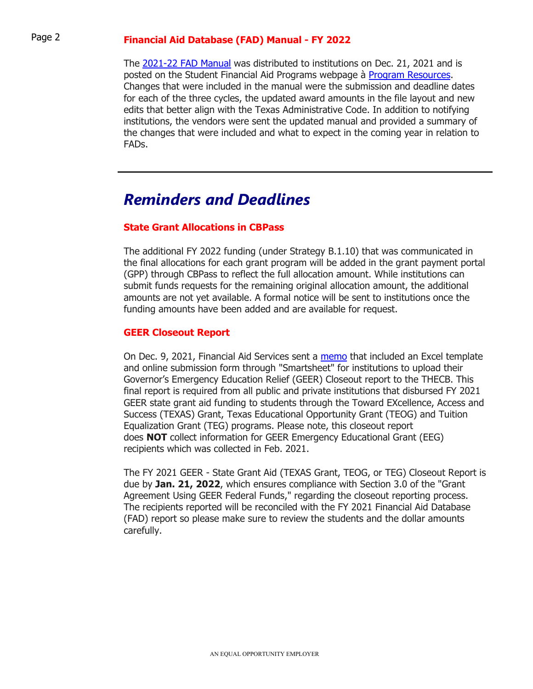## Page 2 **Financial Aid Database (FAD) Manual - FY 2022**

The <u>2021-22 FAD Manual</u> was distributed to institutions on Dec. 21, 2021 and is posted on the Student Financial Aid Programs webpage à <mark>Program Resources</mark>. Changes that were included in the manual were the submission and deadline dates for each of the three cycles, the updated award amounts in the file layout and new edits that better align with the Texas Administrative Code. In addition to notifying institutions, the vendors were sent the updated manual and provided a summary of the changes that were included and what to expect in the coming year in relation to FADs.

## *Reminders and Deadlines*

#### **State Grant Allocations in CBPass**

 The additional FY 2022 funding (under Strategy B.1.10) that was communicated in the final allocations for each grant program will be added in the grant payment portal (GPP) through CBPass to reflect the full allocation amount. While institutions can submit funds requests for the remaining original allocation amount, the additional amounts are not yet available. A formal notice will be sent to institutions once the funding amounts have been added and are available for request.

### **GEER Closeout Report**

On Dec. 9, 2021, Financial Aid Services sent a <u>memo</u> that included an Excel template and online submission form through "Smartsheet" for institutions to upload their Governor's Emergency Education Relief (GEER) Closeout report to the THECB. This final report is required from all public and private institutions that disbursed FY 2021 GEER state grant aid funding to students through the Toward EXcellence, Access and Success (TEXAS) Grant, Texas Educational Opportunity Grant (TEOG) and Tuition Equalization Grant (TEG) programs. Please note, this closeout report does **NOT** collect information for GEER Emergency Educational Grant (EEG) recipients which was collected in Feb. 2021.

 The FY 2021 GEER - State Grant Aid (TEXAS Grant, TEOG, or TEG) Closeout Report is due by **Jan. 21, 2022**, which ensures compliance with Section 3.0 of the "Grant Agreement Using GEER Federal Funds," regarding the closeout reporting process. The recipients reported will be reconciled with the FY 2021 Financial Aid Database (FAD) report so please make sure to review the students and the dollar amounts carefully.